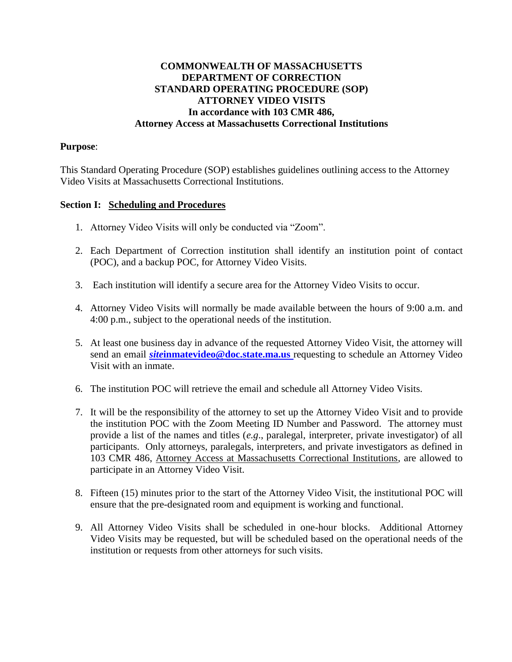## **COMMONWEALTH OF MASSACHUSETTS DEPARTMENT OF CORRECTION STANDARD OPERATING PROCEDURE (SOP) ATTORNEY VIDEO VISITS In accordance with 103 CMR 486, Attorney Access at Massachusetts Correctional Institutions**

## **Purpose**:

This Standard Operating Procedure (SOP) establishes guidelines outlining access to the Attorney Video Visits at Massachusetts Correctional Institutions.

## **Section I: Scheduling and Procedures**

- 1. Attorney Video Visits will only be conducted via "Zoom".
- 2. Each Department of Correction institution shall identify an institution point of contact (POC), and a backup POC, for Attorney Video Visits.
- 3. Each institution will identify a secure area for the Attorney Video Visits to occur.
- 4. Attorney Video Visits will normally be made available between the hours of 9:00 a.m. and 4:00 p.m., subject to the operational needs of the institution.
- 5. At least one business day in advance of the requested Attorney Video Visit, the attorney will send an email *site***[inmatevideo@doc.state.ma.us](mailto:siteinmatevideo@doc.state.ma.us)** requesting to schedule an Attorney Video Visit with an inmate.
- 6. The institution POC will retrieve the email and schedule all Attorney Video Visits.
- 7. It will be the responsibility of the attorney to set up the Attorney Video Visit and to provide the institution POC with the Zoom Meeting ID Number and Password. The attorney must provide a list of the names and titles (*e.g*., paralegal, interpreter, private investigator) of all participants. Only attorneys, paralegals, interpreters, and private investigators as defined in 103 CMR 486, Attorney Access at Massachusetts Correctional Institutions, are allowed to participate in an Attorney Video Visit.
- 8. Fifteen (15) minutes prior to the start of the Attorney Video Visit, the institutional POC will ensure that the pre-designated room and equipment is working and functional.
- 9. All Attorney Video Visits shall be scheduled in one-hour blocks. Additional Attorney Video Visits may be requested, but will be scheduled based on the operational needs of the institution or requests from other attorneys for such visits.